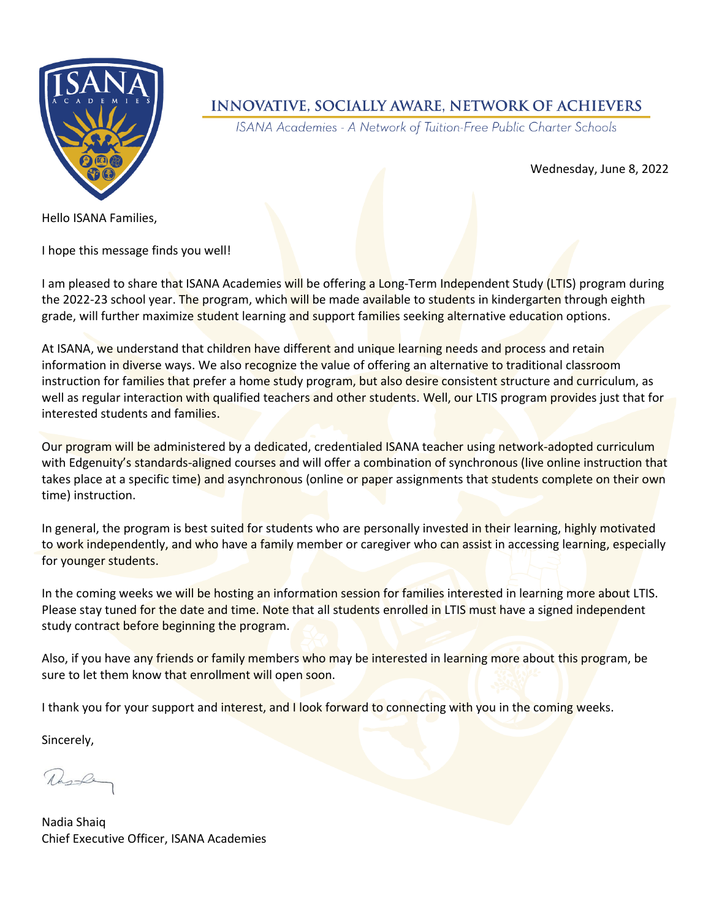

## **INNOVATIVE, SOCIALLY AWARE, NETWORK OF ACHIEVERS**

ISANA Academies - A Network of Tuition-Free Public Charter Schools

Wednesday, June 8, 2022

Hello ISANA Families,

I hope this message finds you well!

I am pleased to share that ISANA Academies will be offering a Long-Term Independent Study (LTIS) program during the 2022-23 school year. The program, which will be made available to students in kindergarten through eighth grade, will further maximize student learning and support families seeking alternative education options.

At ISANA, we understand that children have different and unique learning needs and process and retain information in diverse ways. We also recognize the value of offering an alternative to traditional classroom instruction for families that prefer a home study program, but also desire consistent structure and curriculum, as well as regular interaction with qualified teachers and other students. Well, our LTIS program provides just that for interested students and families.

Our program will be administered by a dedicated, credentialed ISANA teacher using network-adopted curriculum with Edgenuity's standards-aligned courses and will offer a combination of synchronous (live online instruction that takes place at a specific time) and asynchronous (online or paper assignments that students complete on their own time) instruction.

In general, the program is best suited for students who are personally invested in their learning, highly motivated to work independently, and who have a family member or caregiver who can assist in accessing learning, especially for younger students.

In the coming weeks we will be hosting an information session for families interested in learning more about LTIS. Please stay tuned for the date and time. Note that all students enrolled in LTIS must have a signed independent study contract before beginning the program.

Also, if you have any friends or family members who may be interested in learning more about this program, be sure to let them know that enrollment will open soon.

I thank you for your support and interest, and I look forward to connecting with you in the coming weeks.

Sincerely,

Newle

Nadia Shaiq Chief Executive Officer, ISANA Academies